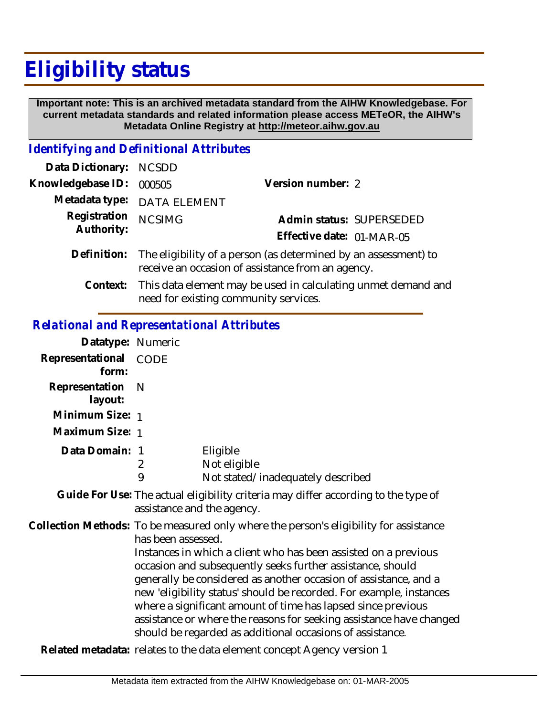## **Eligibility status**

 **Important note: This is an archived metadata standard from the AIHW Knowledgebase. For current metadata standards and related information please access METeOR, the AIHW's Metadata Online Registry at http://meteor.aihw.gov.au**

## *Identifying and Definitional Attributes*

| Data Dictionary: NCSDD     |                                                                                                                                  |                           |                          |
|----------------------------|----------------------------------------------------------------------------------------------------------------------------------|---------------------------|--------------------------|
| Knowledgebase ID: 000505   |                                                                                                                                  | Version number: 2         |                          |
|                            | Metadata type: DATA ELEMENT                                                                                                      |                           |                          |
| Registration<br>Authority: | <b>NCSIMG</b>                                                                                                                    | Effective date: 01-MAR-05 | Admin status: SUPERSEDED |
|                            | Definition: The eligibility of a person (as determined by an assessment) to<br>receive an occasion of assistance from an agency. |                           |                          |

This data element may be used in calculating unmet demand and need for existing community services. **Context:**

## *Relational and Representational Attributes*

| Datatype: Numeric         |                                                                                                                                                                                                                                                                                                                                                                                                                                                                                                                                                                                             |                                                               |  |
|---------------------------|---------------------------------------------------------------------------------------------------------------------------------------------------------------------------------------------------------------------------------------------------------------------------------------------------------------------------------------------------------------------------------------------------------------------------------------------------------------------------------------------------------------------------------------------------------------------------------------------|---------------------------------------------------------------|--|
| Representational<br>form: | <b>CODE</b>                                                                                                                                                                                                                                                                                                                                                                                                                                                                                                                                                                                 |                                                               |  |
| Representation<br>layout: | -N                                                                                                                                                                                                                                                                                                                                                                                                                                                                                                                                                                                          |                                                               |  |
| Minimum Size: 1           |                                                                                                                                                                                                                                                                                                                                                                                                                                                                                                                                                                                             |                                                               |  |
| Maximum Size: 1           |                                                                                                                                                                                                                                                                                                                                                                                                                                                                                                                                                                                             |                                                               |  |
| Data Domain: 1            | 2<br>9                                                                                                                                                                                                                                                                                                                                                                                                                                                                                                                                                                                      | Eligible<br>Not eligible<br>Not stated/inadequately described |  |
|                           | Guide For Use: The actual eligibility criteria may differ according to the type of<br>assistance and the agency.                                                                                                                                                                                                                                                                                                                                                                                                                                                                            |                                                               |  |
|                           | Collection Methods: To be measured only where the person's eligibility for assistance<br>has been assessed.<br>Instances in which a client who has been assisted on a previous<br>occasion and subsequently seeks further assistance, should<br>generally be considered as another occasion of assistance, and a<br>new 'eligibility status' should be recorded. For example, instances<br>where a significant amount of time has lapsed since previous<br>assistance or where the reasons for seeking assistance have changed<br>should be regarded as additional occasions of assistance. |                                                               |  |

**Related metadata:** relates to the data element concept Agency version 1